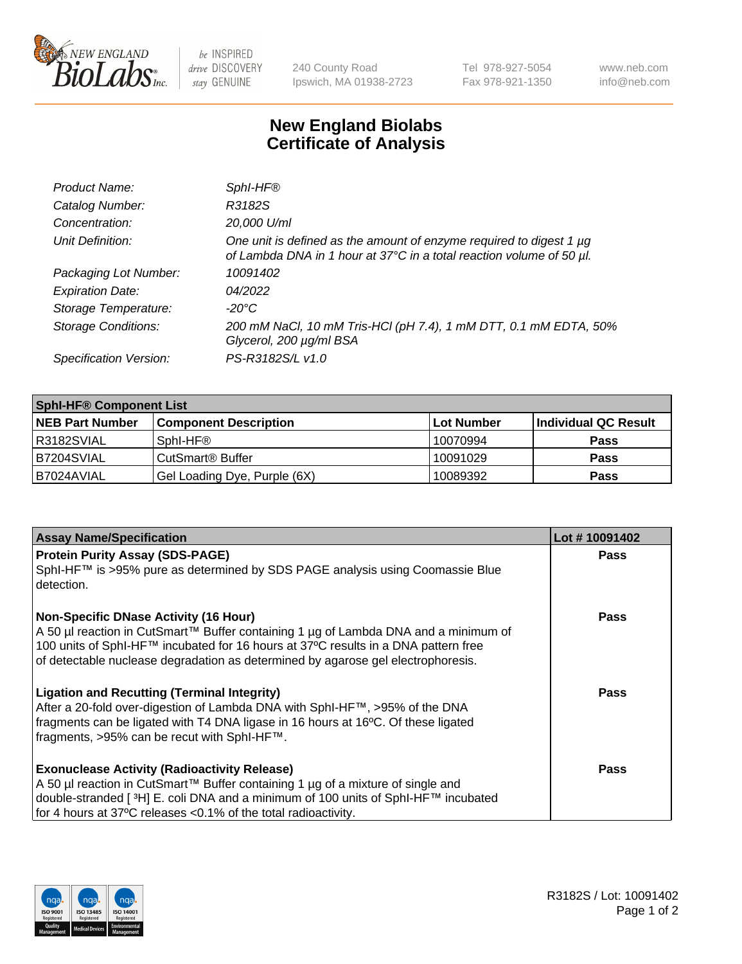

 $be$  INSPIRED drive DISCOVERY stay GENUINE

240 County Road Ipswich, MA 01938-2723 Tel 978-927-5054 Fax 978-921-1350 www.neb.com info@neb.com

## **New England Biolabs Certificate of Analysis**

| Product Name:              | Sphl-HF®                                                                                                                                    |
|----------------------------|---------------------------------------------------------------------------------------------------------------------------------------------|
| Catalog Number:            | R3182S                                                                                                                                      |
| Concentration:             | 20,000 U/ml                                                                                                                                 |
| Unit Definition:           | One unit is defined as the amount of enzyme required to digest 1 µg<br>of Lambda DNA in 1 hour at 37°C in a total reaction volume of 50 µl. |
| Packaging Lot Number:      | 10091402                                                                                                                                    |
| <b>Expiration Date:</b>    | 04/2022                                                                                                                                     |
| Storage Temperature:       | $-20^{\circ}$ C                                                                                                                             |
| <b>Storage Conditions:</b> | 200 mM NaCl, 10 mM Tris-HCl (pH 7.4), 1 mM DTT, 0.1 mM EDTA, 50%<br>Glycerol, 200 µg/ml BSA                                                 |
| Specification Version:     | PS-R3182S/L v1.0                                                                                                                            |

| <b>Sphi-HF® Component List</b> |                              |             |                      |  |  |
|--------------------------------|------------------------------|-------------|----------------------|--|--|
| <b>NEB Part Number</b>         | <b>Component Description</b> | ∣Lot Number | Individual QC Result |  |  |
| R3182SVIAL                     | Sphl-HF®                     | 10070994    | <b>Pass</b>          |  |  |
| B7204SVIAL                     | CutSmart® Buffer             | 10091029    | <b>Pass</b>          |  |  |
| IB7024AVIAL                    | Gel Loading Dye, Purple (6X) | 10089392    | <b>Pass</b>          |  |  |

| <b>Assay Name/Specification</b>                                                                                                                                                                                                                                                                                 | Lot #10091402 |
|-----------------------------------------------------------------------------------------------------------------------------------------------------------------------------------------------------------------------------------------------------------------------------------------------------------------|---------------|
| <b>Protein Purity Assay (SDS-PAGE)</b><br>SphI-HF™ is >95% pure as determined by SDS PAGE analysis using Coomassie Blue<br>l detection.                                                                                                                                                                         | <b>Pass</b>   |
| <b>Non-Specific DNase Activity (16 Hour)</b><br>  A 50 µl reaction in CutSmart™ Buffer containing 1 µg of Lambda DNA and a minimum of<br>100 units of SphI-HF™ incubated for 16 hours at 37°C results in a DNA pattern free<br>of detectable nuclease degradation as determined by agarose gel electrophoresis. | Pass          |
| <b>Ligation and Recutting (Terminal Integrity)</b><br>After a 20-fold over-digestion of Lambda DNA with SphI-HF™, >95% of the DNA<br>fragments can be ligated with T4 DNA ligase in 16 hours at 16°C. Of these ligated<br>fragments, >95% can be recut with SphI-HF™.                                           | Pass          |
| <b>Exonuclease Activity (Radioactivity Release)</b><br>A 50 µl reaction in CutSmart™ Buffer containing 1 µg of a mixture of single and<br>double-stranded [ <sup>3</sup> H] E. coli DNA and a minimum of 100 units of Sphl-HF™ incubated<br>for 4 hours at 37°C releases <0.1% of the total radioactivity.      | <b>Pass</b>   |